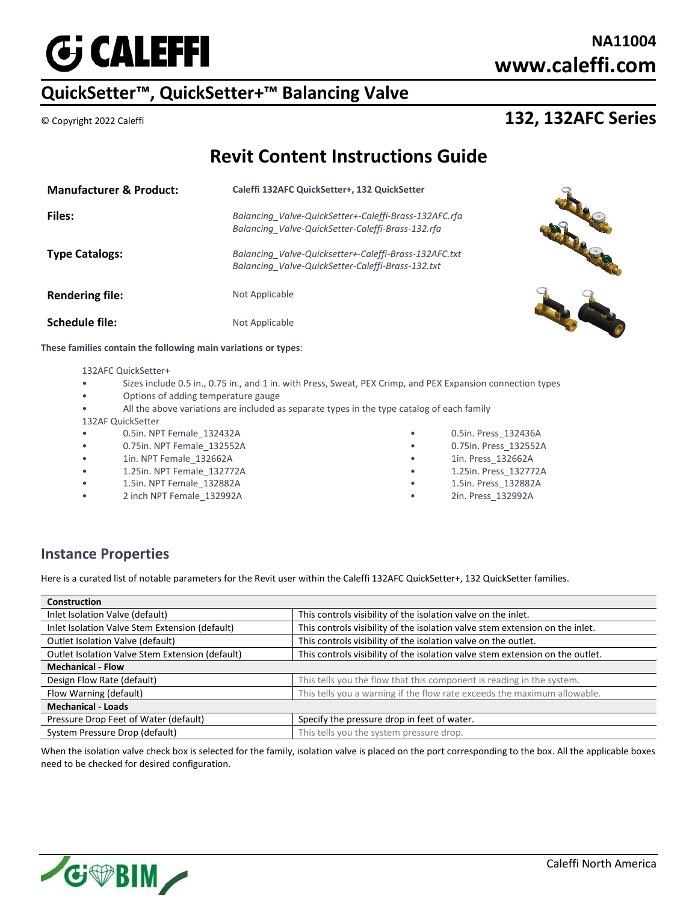

## **NA11004 www.caleffi.com**

# **QuickSetter™, QuickSetter+™ Balancing Valve**

### © Copyright 2022 Caleffi **132, 132AFC Series**

## **Revit Content Instructions Guide**

| <b>Manufacturer &amp; Product:</b> | Caleffi 132AFC QuickSetter+, 132 QuickSetter                                                               |  |
|------------------------------------|------------------------------------------------------------------------------------------------------------|--|
| <b>Files:</b>                      | Balancing Valve-QuickSetter+-Caleffi-Brass-132AFC.rfa<br>Balancing_Valve-QuickSetter-Caleffi-Brass-132.rfa |  |
| <b>Type Catalogs:</b>              | Balancing Valve-Quicksetter+-Caleffi-Brass-132AFC.txt<br>Balancing Valve-QuickSetter-Caleffi-Brass-132.txt |  |
| <b>Rendering file:</b>             | Not Applicable                                                                                             |  |
| Schedule file:                     | Not Applicable                                                                                             |  |

**These families contain the following main variations or types**:

#### 132AFC QuickSetter+

- Sizes include 0.5 in., 0.75 in., and 1 in. with Press, Sweat, PEX Crimp, and PEX Expansion connection types
- Options of adding temperature gauge
- All the above variations are included as separate types in the type catalog of each family
- 132AF QuickSetter
- 0.5in. NPT Female\_132432A
- 0.75in. NPT Female\_132552A
- 1in. NPT Female\_132662A
- 1.25in. NPT Female\_132772A
- 1.5in. NPT Female\_132882A
- 2 inch NPT Female\_132992A
- 0.5in. Press\_132436A
- 0.75in. Press\_132552A
- 1in. Press\_132662A
- 1.25in. Press\_132772A
- 1.5in. Press\_132882A
- 2in. Press\_132992A

### **Instance Properties**

Here is a curated list of notable parameters for the Revit user within the Caleffi 132AFC QuickSetter+, 132 QuickSetter families.

| <b>Construction</b>                             |                                                                               |  |
|-------------------------------------------------|-------------------------------------------------------------------------------|--|
| Inlet Isolation Valve (default)                 | This controls visibility of the isolation valve on the inlet.                 |  |
| Inlet Isolation Valve Stem Extension (default)  | This controls visibility of the isolation valve stem extension on the inlet.  |  |
| Outlet Isolation Valve (default)                | This controls visibility of the isolation valve on the outlet.                |  |
| Outlet Isolation Valve Stem Extension (default) | This controls visibility of the isolation valve stem extension on the outlet. |  |
| <b>Mechanical - Flow</b>                        |                                                                               |  |
| Design Flow Rate (default)                      | This tells you the flow that this component is reading in the system.         |  |
| Flow Warning (default)                          | This tells you a warning if the flow rate exceeds the maximum allowable.      |  |
| <b>Mechanical - Loads</b>                       |                                                                               |  |
| Pressure Drop Feet of Water (default)           | Specify the pressure drop in feet of water.                                   |  |
| System Pressure Drop (default)                  | This tells you the system pressure drop.                                      |  |
|                                                 |                                                                               |  |

When the isolation valve check box is selected for the family, isolation valve is placed on the port corresponding to the box. All the applicable boxes need to be checked for desired configuration.

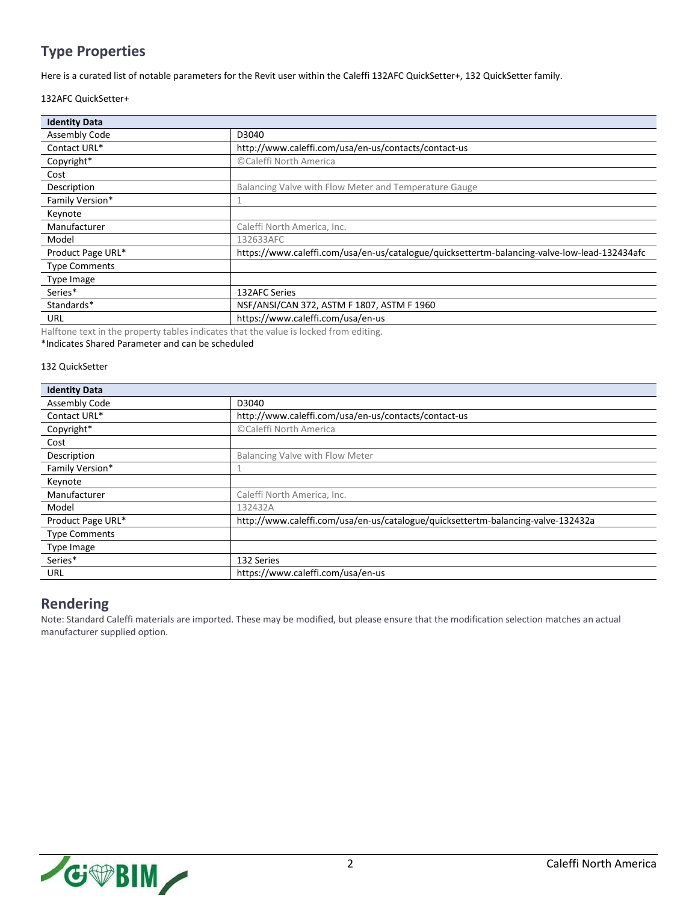## **Type Properties**

Here is a curated list of notable parameters for the Revit user within the Caleffi 132AFC QuickSetter+, 132 QuickSetter family.

#### 132AFC QuickSetter+

| <b>Identity Data</b> |                                                                                              |
|----------------------|----------------------------------------------------------------------------------------------|
| <b>Assembly Code</b> | D3040                                                                                        |
| Contact URL*         | http://www.caleffi.com/usa/en-us/contacts/contact-us                                         |
| Copyright*           | ©Caleffi North America                                                                       |
| Cost                 |                                                                                              |
| Description          | Balancing Valve with Flow Meter and Temperature Gauge                                        |
| Family Version*      |                                                                                              |
| Keynote              |                                                                                              |
| Manufacturer         | Caleffi North America, Inc.                                                                  |
| Model                | 132633AFC                                                                                    |
| Product Page URL*    | https://www.caleffi.com/usa/en-us/catalogue/quicksettertm-balancing-valve-low-lead-132434afc |
| <b>Type Comments</b> |                                                                                              |
| Type Image           |                                                                                              |
| Series*              | 132AFC Series                                                                                |
| Standards*           | NSF/ANSI/CAN 372, ASTM F 1807, ASTM F 1960                                                   |
| URL                  | https://www.caleffi.com/usa/en-us                                                            |

Halftone text in the property tables indicates that the value is locked from editing. \*Indicates Shared Parameter and can be scheduled

#### 132 QuickSetter

| <b>Identity Data</b> |                                                                                  |
|----------------------|----------------------------------------------------------------------------------|
| Assembly Code        | D3040                                                                            |
| Contact URL*         | http://www.caleffi.com/usa/en-us/contacts/contact-us                             |
| Copyright*           | ©Caleffi North America                                                           |
| Cost                 |                                                                                  |
| Description          | Balancing Valve with Flow Meter                                                  |
| Family Version*      |                                                                                  |
| Keynote              |                                                                                  |
| Manufacturer         | Caleffi North America, Inc.                                                      |
| Model                | 132432A                                                                          |
| Product Page URL*    | http://www.caleffi.com/usa/en-us/catalogue/quicksettertm-balancing-valve-132432a |
| <b>Type Comments</b> |                                                                                  |
| Type Image           |                                                                                  |
| Series*              | 132 Series                                                                       |
| URL                  | https://www.caleffi.com/usa/en-us                                                |

### **Rendering**

Note: Standard Caleffi materials are imported. These may be modified, but please ensure that the modification selection matches an actual manufacturer supplied option.

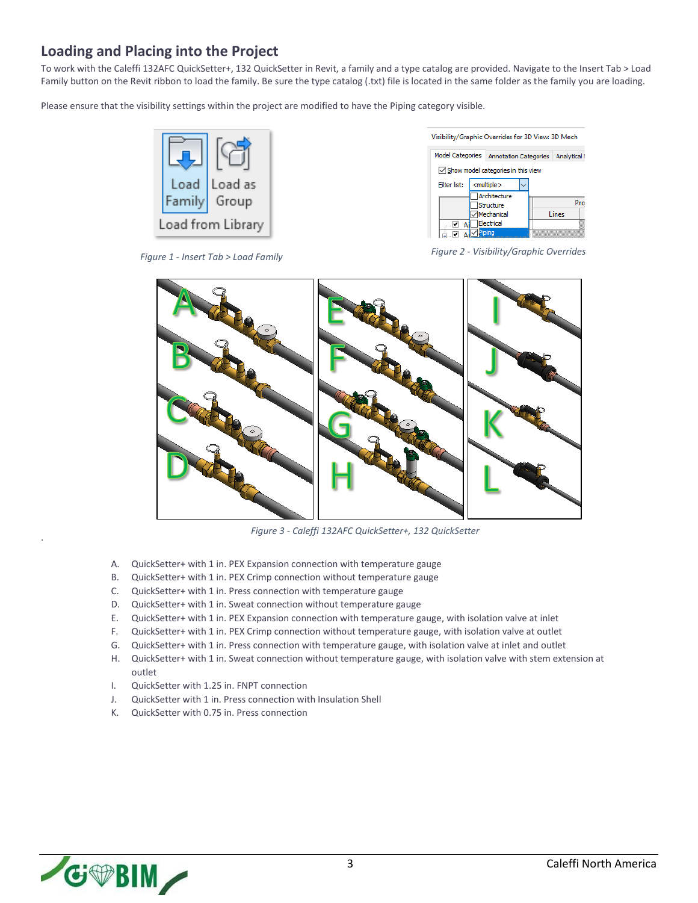### **Loading and Placing into the Project**

To work with the Caleffi 132AFC QuickSetter+, 132 QuickSetter in Revit, a family and a type catalog are provided. Navigate to the Insert Tab > Load Family button on the Revit ribbon to load the family. Be sure the type catalog (.txt) file is located in the same folder as the family you are loading.

Please ensure that the visibility settings within the project are modified to have the Piping category visible.





*Figure 1 - Insert Tab > Load Family Figure 2 - Visibility/Graphic Overrides*



*Figure 3 - Caleffi 132AFC QuickSetter+, 132 QuickSetter*

- A. QuickSetter+ with 1 in. PEX Expansion connection with temperature gauge
- B. QuickSetter+ with 1 in. PEX Crimp connection without temperature gauge
- C. QuickSetter+ with 1 in. Press connection with temperature gauge
- D. QuickSetter+ with 1 in. Sweat connection without temperature gauge
- E. QuickSetter+ with 1 in. PEX Expansion connection with temperature gauge, with isolation valve at inlet
- F. QuickSetter+ with 1 in. PEX Crimp connection without temperature gauge, with isolation valve at outlet
- G. QuickSetter+ with 1 in. Press connection with temperature gauge, with isolation valve at inlet and outlet
- H. QuickSetter+ with 1 in. Sweat connection without temperature gauge, with isolation valve with stem extension at outlet
- I. QuickSetter with 1.25 in. FNPT connection
- J. QuickSetter with 1 in. Press connection with Insulation Shell
- K. QuickSetter with 0.75 in. Press connection



.